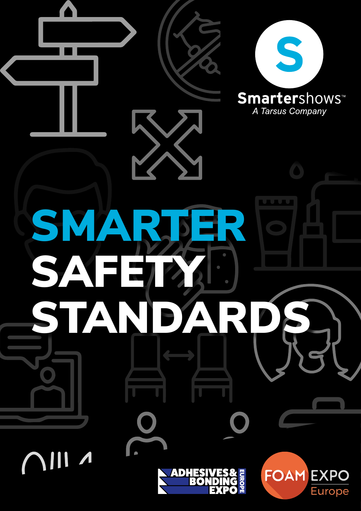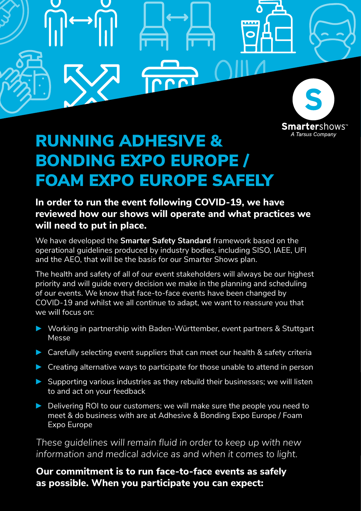

Λ

## RUNNING ADHESIVE & BONDING EXPO EUROPE / FOAM EXPO EUROPE SAFELY

## **In order to run the event following COVID-19, we have reviewed how our shows will operate and what practices we will need to put in place.**

We have developed the **Smarter Safety Standard** framework based on the operational guidelines produced by industry bodies, including SISO, IAEE, UFI and the AEO, that will be the basis for our Smarter Shows plan.

The health and safety of all of our event stakeholders will always be our highest priority and will guide every decision we make in the planning and scheduling of our events. We know that face-to-face events have been changed by COVID-19 and whilst we all continue to adapt, we want to reassure you that we will focus on:

- ► Working in partnership with Baden-Württember, event partners & Stuttgart Messe
- ► Carefully selecting event suppliers that can meet our health & safety criteria
- ► Creating alternative ways to participate for those unable to attend in person
- ► Supporting various industries as they rebuild their businesses; we will listen to and act on your feedback
- ► Delivering ROI to our customers; we will make sure the people you need to meet & do business with are at Adhesive & Bonding Expo Europe / Foam Expo Europe

*These guidelines will remain fluid in order to keep up with new information and medical advice as and when it comes to light.*

### **Our commitment is to run face-to-face events as safely as possible. When you participate you can expect:**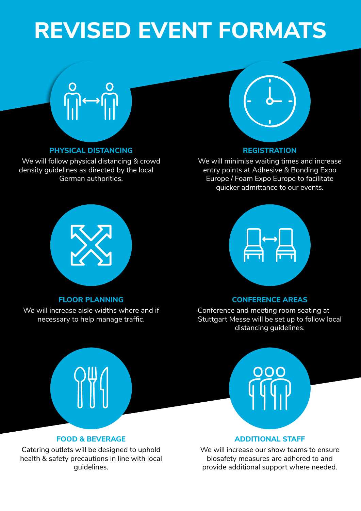# **REVISED EVENT FORMATS**

# $\begin{picture}(180,10) \put(0,0){\line(1,0){10}} \put(10,0){\line(1,0){10}} \put(10,0){\line(1,0){10}} \put(10,0){\line(1,0){10}} \put(10,0){\line(1,0){10}} \put(10,0){\line(1,0){10}} \put(10,0){\line(1,0){10}} \put(10,0){\line(1,0){10}} \put(10,0){\line(1,0){10}} \put(10,0){\line(1,0){10}} \put(10,0){\line(1,0){10}} \put(10,0){\line($

#### **PHYSICAL DISTANCING**

We will follow physical distancing & crowd density guidelines as directed by the local German authorities.



#### **REGISTRATION**

We will minimise waiting times and increase entry points at Adhesive & Bonding Expo Europe / Foam Expo Europe to facilitate quicker admittance to our events.



#### **FLOOR PLANNING**

We will increase aisle widths where and if necessary to help manage traffic.



#### **CONFERENCE AREAS**

Conference and meeting room seating at Stuttgart Messe will be set up to follow local distancing guidelines.



**ADDITIONAL STAFF** 

We will increase our show teams to ensure biosafety measures are adhered to and provide additional support where needed.

**FOOD & BEVERAGE**

Catering outlets will be designed to uphold health & safety precautions in line with local guidelines.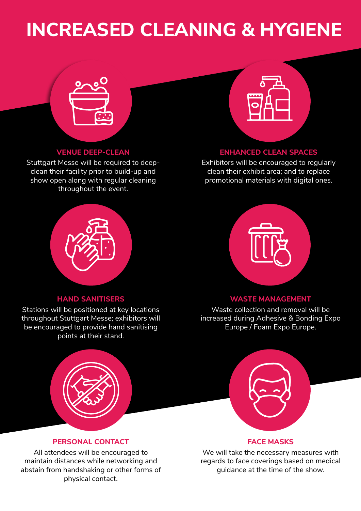# **INCREASED CLEANING & HYGIENE**



#### **VENUE DEEP-CLEAN**

Stuttgart Messe will be required to deepclean their facility prior to build-up and show open along with regular cleaning throughout the event.



#### **ENHANCED CLEAN SPACES**

Exhibitors will be encouraged to regularly clean their exhibit area; and to replace promotional materials with digital ones.



#### **HAND SANITISERS**

Stations will be positioned at key locations throughout Stuttgart Messe; exhibitors will be encouraged to provide hand sanitising points at their stand.



#### **WASTE MANAGEMENT**

Waste collection and removal will be increased during Adhesive & Bonding Expo Europe / Foam Expo Europe.



**PERSONAL CONTACT**

All attendees will be encouraged to maintain distances while networking and abstain from handshaking or other forms of physical contact.



#### **FACE MASKS**

We will take the necessary measures with regards to face coverings based on medical guidance at the time of the show.